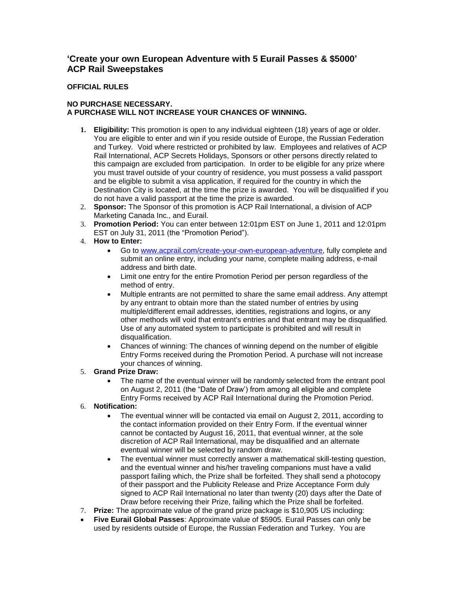# **'Create your own European Adventure with 5 Eurail Passes & \$5000' ACP Rail Sweepstakes**

### **OFFICIAL RULES**

### **NO PURCHASE NECESSARY. A PURCHASE WILL NOT INCREASE YOUR CHANCES OF WINNING.**

- **1. Eligibility:** This promotion is open to any individual eighteen (18) years of age or older. You are eligible to enter and win if you reside outside of Europe, the Russian Federation and Turkey. Void where restricted or prohibited by law. Employees and relatives of ACP Rail International, ACP Secrets Holidays, Sponsors or other persons directly related to this campaign are excluded from participation. In order to be eligible for any prize where you must travel outside of your country of residence, you must possess a valid passport and be eligible to submit a visa application, if required for the country in which the Destination City is located, at the time the prize is awarded. You will be disqualified if you do not have a valid passport at the time the prize is awarded.
- 2. **Sponsor:** The Sponsor of this promotion is ACP Rail International, a division of ACP Marketing Canada Inc., and Eurail.
- 3. **Promotion Period:** You can enter between 12:01pm EST on June 1, 2011 and 12:01pm EST on July 31, 2011 (the "Promotion Period").
- 4. **How to Enter:**
	- Go to [www.acprail.com/create-your-own-european-adventure,](http://www.acprail.com/create-your-own-european-adventure) fully complete and submit an online entry, including your name, complete mailing address, e-mail address and birth date.
	- Limit one entry for the entire Promotion Period per person regardless of the method of entry.
	- Multiple entrants are not permitted to share the same email address. Any attempt by any entrant to obtain more than the stated number of entries by using multiple/different email addresses, identities, registrations and logins, or any other methods will void that entrant's entries and that entrant may be disqualified. Use of any automated system to participate is prohibited and will result in disqualification.
	- Chances of winning: The chances of winning depend on the number of eligible Entry Forms received during the Promotion Period. A purchase will not increase your chances of winning.

## 5. **Grand Prize Draw:**

- The name of the eventual winner will be randomly selected from the entrant pool on August 2, 2011 (the "Date of Draw') from among all eligible and complete Entry Forms received by ACP Rail International during the Promotion Period.
- 6. **Notification:**
	- The eventual winner will be contacted via email on August 2, 2011, according to the contact information provided on their Entry Form. If the eventual winner cannot be contacted by August 16, 2011, that eventual winner, at the sole discretion of ACP Rail International, may be disqualified and an alternate eventual winner will be selected by random draw.
	- The eventual winner must correctly answer a mathematical skill-testing question, and the eventual winner and his/her traveling companions must have a valid passport failing which, the Prize shall be forfeited. They shall send a photocopy of their passport and the Publicity Release and Prize Acceptance Form duly signed to ACP Rail International no later than twenty (20) days after the Date of Draw before receiving their Prize, failing which the Prize shall be forfeited.
- 7. **Prize:** The approximate value of the grand prize package is \$10,905 US including:
- **Five Eurail Global Passes**: Approximate value of \$5905. Eurail Passes can only be used by residents outside of Europe, the Russian Federation and Turkey. You are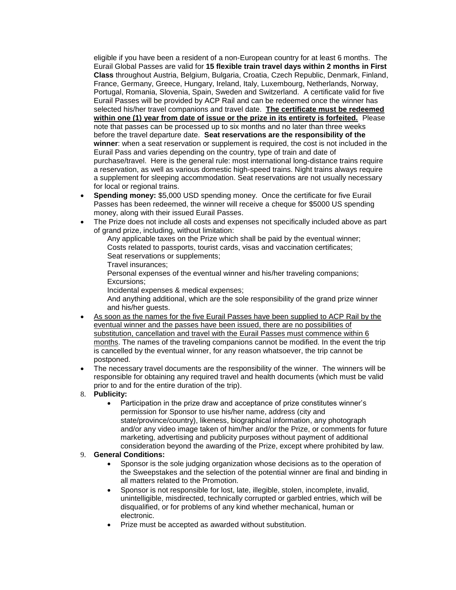eligible if you have been a resident of a non-European country for at least 6 months. The Eurail Global Passes are valid for **15 flexible train travel days within 2 months in First Class** throughout Austria, Belgium, Bulgaria, Croatia, Czech Republic, Denmark, Finland, France, Germany, Greece, Hungary, Ireland, Italy, Luxembourg, Netherlands, Norway, Portugal, Romania, Slovenia, Spain, Sweden and Switzerland. A certificate valid for five Eurail Passes will be provided by ACP Rail and can be redeemed once the winner has selected his/her travel companions and travel date. **The certificate must be redeemed within one (1) year from date of issue or the prize in its entirety is forfeited.** Please note that passes can be processed up to six months and no later than three weeks before the travel departure date. **Seat reservations are the responsibility of the winner**: when a seat reservation or supplement is required, the cost is not included in the Eurail Pass and varies depending on the country, type of train and date of purchase/travel. Here is the general rule: most international long-distance trains require a reservation, as well as various domestic high-speed trains. Night trains always require a supplement for sleeping accommodation. Seat reservations are not usually necessary for local or regional trains.

- **Spending money:** \$5,000 USD spending money. Once the certificate for five Eurail Passes has been redeemed, the winner will receive a cheque for \$5000 US spending money, along with their issued Eurail Passes.
- The Prize does not include all costs and expenses not specifically included above as part of grand prize, including, without limitation:

Any applicable taxes on the Prize which shall be paid by the eventual winner; Costs related to passports, tourist cards, visas and vaccination certificates; Seat reservations or supplements;

Travel insurances;

Personal expenses of the eventual winner and his/her traveling companions; Excursions;

Incidental expenses & medical expenses;

And anything additional, which are the sole responsibility of the grand prize winner and his/her guests.

- As soon as the names for the five Eurail Passes have been supplied to ACP Rail by the eventual winner and the passes have been issued, there are no possibilities of substitution, cancellation and travel with the Eurail Passes must commence within 6 months. The names of the traveling companions cannot be modified. In the event the trip is cancelled by the eventual winner, for any reason whatsoever, the trip cannot be postponed.
- The necessary travel documents are the responsibility of the winner. The winners will be responsible for obtaining any required travel and health documents (which must be valid prior to and for the entire duration of the trip).
- 8. **Publicity:**
	- Participation in the prize draw and acceptance of prize constitutes winner's permission for Sponsor to use his/her name, address (city and state/province/country), likeness, biographical information, any photograph and/or any video image taken of him/her and/or the Prize, or comments for future marketing, advertising and publicity purposes without payment of additional consideration beyond the awarding of the Prize, except where prohibited by law.

#### 9. **General Conditions:**

- Sponsor is the sole judging organization whose decisions as to the operation of the Sweepstakes and the selection of the potential winner are final and binding in all matters related to the Promotion.
- Sponsor is not responsible for lost, late, illegible, stolen, incomplete, invalid, unintelligible, misdirected, technically corrupted or garbled entries, which will be disqualified, or for problems of any kind whether mechanical, human or electronic.
- Prize must be accepted as awarded without substitution.